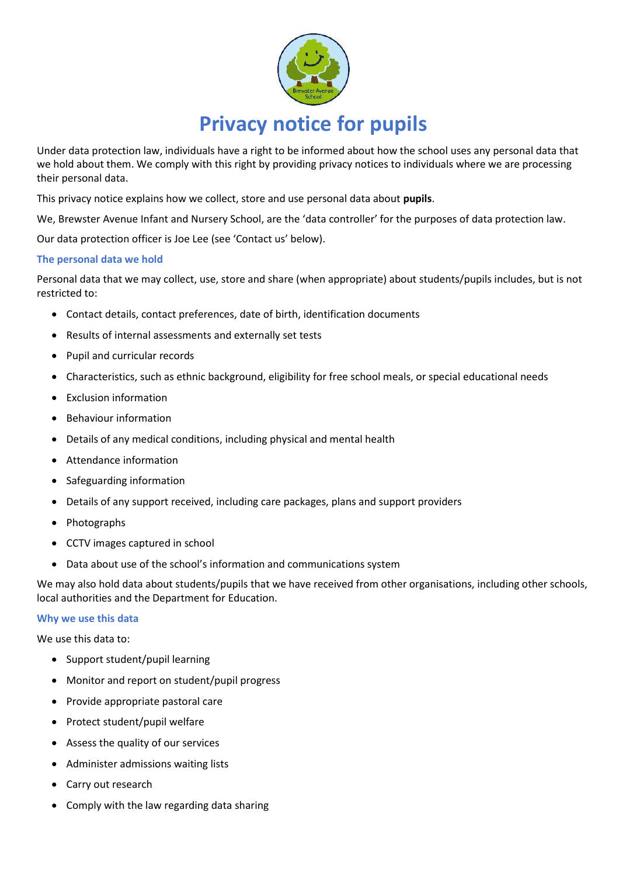

Under data protection law, individuals have a right to be informed about how the school uses any personal data that we hold about them. We comply with this right by providing privacy notices to individuals where we are processing their personal data.

This privacy notice explains how we collect, store and use personal data about **pupils**.

We, Brewster Avenue Infant and Nursery School, are the 'data controller' for the purposes of data protection law.

Our data protection officer is Joe Lee (see 'Contact us' below).

# **The personal data we hold**

Personal data that we may collect, use, store and share (when appropriate) about students/pupils includes, but is not restricted to:

- Contact details, contact preferences, date of birth, identification documents
- Results of internal assessments and externally set tests
- Pupil and curricular records
- Characteristics, such as ethnic background, eligibility for free school meals, or special educational needs
- Exclusion information
- Behaviour information
- Details of any medical conditions, including physical and mental health
- Attendance information
- Safeguarding information
- Details of any support received, including care packages, plans and support providers
- Photographs
- CCTV images captured in school
- Data about use of the school's information and communications system

We may also hold data about students/pupils that we have received from other organisations, including other schools, local authorities and the Department for Education.

### **Why we use this data**

We use this data to:

- Support student/pupil learning
- Monitor and report on student/pupil progress
- Provide appropriate pastoral care
- Protect student/pupil welfare
- Assess the quality of our services
- Administer admissions waiting lists
- Carry out research
- Comply with the law regarding data sharing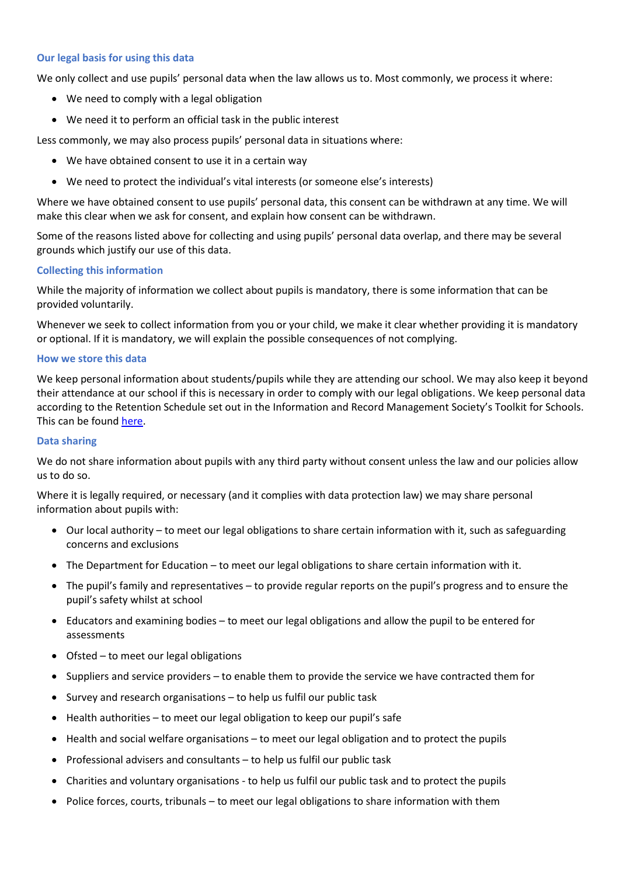### **Our legal basis for using this data**

We only collect and use pupils' personal data when the law allows us to. Most commonly, we process it where:

- We need to comply with a legal obligation
- We need it to perform an official task in the public interest

Less commonly, we may also process pupils' personal data in situations where:

- We have obtained consent to use it in a certain way
- We need to protect the individual's vital interests (or someone else's interests)

Where we have obtained consent to use pupils' personal data, this consent can be withdrawn at any time. We will make this clear when we ask for consent, and explain how consent can be withdrawn.

Some of the reasons listed above for collecting and using pupils' personal data overlap, and there may be several grounds which justify our use of this data.

#### **Collecting this information**

While the majority of information we collect about pupils is mandatory, there is some information that can be provided voluntarily.

Whenever we seek to collect information from you or your child, we make it clear whether providing it is mandatory or optional. If it is mandatory, we will explain the possible consequences of not complying.

#### **How we store this data**

We keep personal information about students/pupils while they are attending our school. We may also keep it beyond their attendance at our school if this is necessary in order to comply with our legal obligations. We keep personal data according to the Retention Schedule set out in the Information and Record Management Society's Toolkit for Schools. This can be found [here.](http://irms.org.uk/?page=schoolstoolkit&terms=%22toolkit+and+schools%22)

#### **Data sharing**

We do not share information about pupils with any third party without consent unless the law and our policies allow us to do so.

Where it is legally required, or necessary (and it complies with data protection law) we may share personal information about pupils with:

- Our local authority to meet our legal obligations to share certain information with it, such as safeguarding concerns and exclusions
- The Department for Education to meet our legal obligations to share certain information with it.
- The pupil's family and representatives to provide regular reports on the pupil's progress and to ensure the pupil's safety whilst at school
- Educators and examining bodies to meet our legal obligations and allow the pupil to be entered for assessments
- Ofsted to meet our legal obligations
- Suppliers and service providers to enable them to provide the service we have contracted them for
- Survey and research organisations to help us fulfil our public task
- Health authorities to meet our legal obligation to keep our pupil's safe
- Health and social welfare organisations to meet our legal obligation and to protect the pupils
- Professional advisers and consultants to help us fulfil our public task
- Charities and voluntary organisations to help us fulfil our public task and to protect the pupils
- Police forces, courts, tribunals to meet our legal obligations to share information with them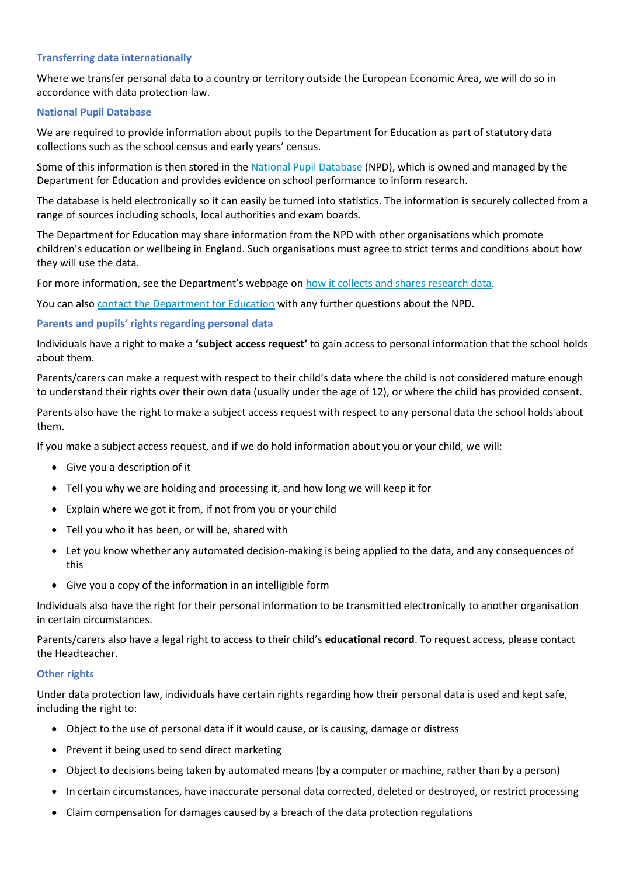## **Transferring data internationally**

Where we transfer personal data to a country or territory outside the European Economic Area, we will do so in accordance with data protection law.

## **National Pupil Database**

We are required to provide information about pupils to the Department for Education as part of statutory data collections such as the school census and early years' census.

Some of this information is then stored in the [National Pupil Database](https://www.gov.uk/government/publications/national-pupil-database-user-guide-and-supporting-information) (NPD), which is owned and managed by the Department for Education and provides evidence on school performance to inform research.

The database is held electronically so it can easily be turned into statistics. The information is securely collected from a range of sources including schools, local authorities and exam boards.

The Department for Education may share information from the NPD with other organisations which promote children's education or wellbeing in England. Such organisations must agree to strict terms and conditions about how they will use the data.

For more information, see the Department's webpage on [how it collects and shares research data.](https://www.gov.uk/data-protection-how-we-collect-and-share-research-data)

You can als[o contact the Department for Education](https://www.gov.uk/contact-dfe) with any further questions about the NPD.

# **Parents and pupils' rights regarding personal data**

Individuals have a right to make a **'subject access request'** to gain access to personal information that the school holds about them.

Parents/carers can make a request with respect to their child's data where the child is not considered mature enough to understand their rights over their own data (usually under the age of 12), or where the child has provided consent.

Parents also have the right to make a subject access request with respect to any personal data the school holds about them.

If you make a subject access request, and if we do hold information about you or your child, we will:

- Give you a description of it
- Tell you why we are holding and processing it, and how long we will keep it for
- Explain where we got it from, if not from you or your child
- Tell you who it has been, or will be, shared with
- Let you know whether any automated decision-making is being applied to the data, and any consequences of this
- Give you a copy of the information in an intelligible form

Individuals also have the right for their personal information to be transmitted electronically to another organisation in certain circumstances.

Parents/carers also have a legal right to access to their child's **educational record**. To request access, please contact the Headteacher.

### **Other rights**

Under data protection law, individuals have certain rights regarding how their personal data is used and kept safe, including the right to:

- Object to the use of personal data if it would cause, or is causing, damage or distress
- Prevent it being used to send direct marketing
- Object to decisions being taken by automated means (by a computer or machine, rather than by a person)
- In certain circumstances, have inaccurate personal data corrected, deleted or destroyed, or restrict processing
- Claim compensation for damages caused by a breach of the data protection regulations